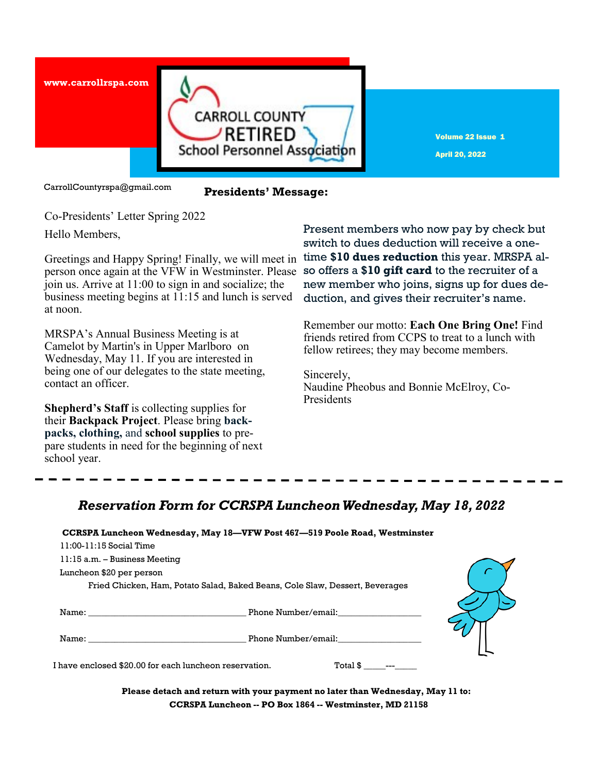

Volume 22 Issue 1 April 20, 2022

CarrollCountyrspa@gmail.com

### **Presidents' Message:**

Co-Presidents' Letter Spring 2022

Hello Members,

Greetings and Happy Spring! Finally, we will meet in person once again at the VFW in Westminster. Please so offers a **\$10 gift card** to the recruiter of a join us. Arrive at 11:00 to sign in and socialize; the business meeting begins at 11:15 and lunch is served at noon.

MRSPA's Annual Business Meeting is at Camelot by Martin's in Upper Marlboro on Wednesday, May 11. If you are interested in being one of our delegates to the state meeting, contact an officer.

**Shepherd's Staff** is collecting supplies for their **Backpack Project**. Please bring **backpacks, clothing,** and **school supplies** to prepare students in need for the beginning of next school year.

Present members who now pay by check but switch to dues deduction will receive a onetime **\$10 dues reduction** this year. MRSPA alnew member who joins, signs up for dues deduction, and gives their recruiter's name.

Remember our motto: **Each One Bring One!** Find friends retired from CCPS to treat to a lunch with fellow retirees; they may become members.

Sincerely, Naudine Pheobus and Bonnie McElroy, Co-Presidents

# *Reservation Form for CCRSPA Luncheon Wednesday, May 18, 2022*

#### **CCRSPA Luncheon Wednesday, May 18—VFW Post 467—519 Poole Road, Westminster**

11:15 a.m. – Business Meeting

Luncheon \$20 per person

Fried Chicken, Ham, Potato Salad, Baked Beans, Cole Slaw, Dessert, Beverages

| Name: | Phone Number/email: |
|-------|---------------------|

\_\_\_\_\_\_\_\_Phone Number/email:

I have enclosed \$20.00 for each luncheon reservation. Total \$ \_\_\_\_\_\_\_

**Please detach and return with your payment no later than Wednesday, May 11 to: CCRSPA Luncheon -- PO Box 1864 -- Westminster, MD 21158**